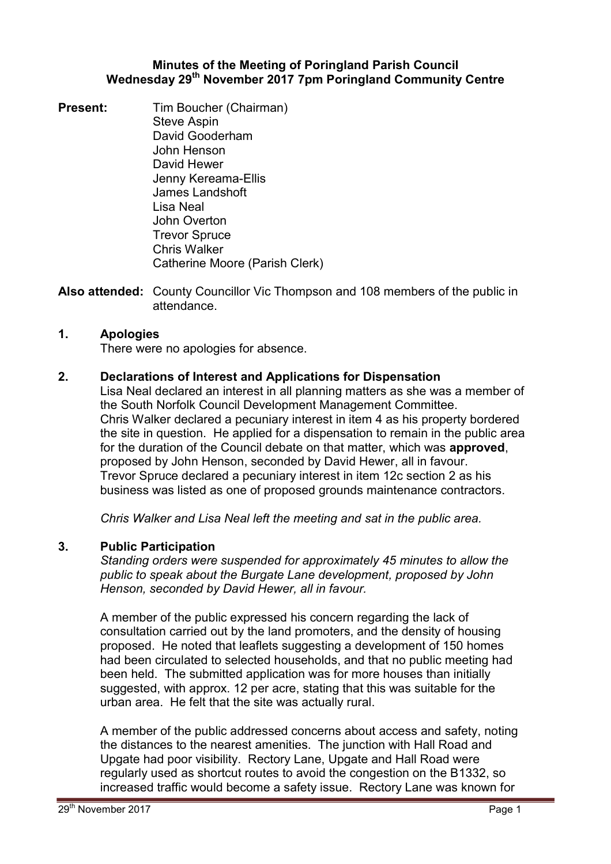# **Minutes of the Meeting of Poringland Parish Council Wednesday 29th November 2017 7pm Poringland Community Centre**

**Present:** Tim Boucher (Chairman) Steve Aspin David Gooderham John Henson David Hewer Jenny Kereama-Ellis James Landshoft Lisa Neal John Overton Trevor Spruce Chris Walker Catherine Moore (Parish Clerk)

**Also attended:** County Councillor Vic Thompson and 108 members of the public in attendance.

# **1. Apologies**

There were no apologies for absence.

# **2. Declarations of Interest and Applications for Dispensation**

Lisa Neal declared an interest in all planning matters as she was a member of the South Norfolk Council Development Management Committee. Chris Walker declared a pecuniary interest in item 4 as his property bordered the site in question. He applied for a dispensation to remain in the public area for the duration of the Council debate on that matter, which was **approved**, proposed by John Henson, seconded by David Hewer, all in favour. Trevor Spruce declared a pecuniary interest in item 12c section 2 as his business was listed as one of proposed grounds maintenance contractors.

*Chris Walker and Lisa Neal left the meeting and sat in the public area.* 

# **3. Public Participation**

*Standing orders were suspended for approximately 45 minutes to allow the public to speak about the Burgate Lane development, proposed by John Henson, seconded by David Hewer, all in favour.* 

A member of the public expressed his concern regarding the lack of consultation carried out by the land promoters, and the density of housing proposed. He noted that leaflets suggesting a development of 150 homes had been circulated to selected households, and that no public meeting had been held. The submitted application was for more houses than initially suggested, with approx. 12 per acre, stating that this was suitable for the urban area. He felt that the site was actually rural.

A member of the public addressed concerns about access and safety, noting the distances to the nearest amenities. The junction with Hall Road and Upgate had poor visibility. Rectory Lane, Upgate and Hall Road were regularly used as shortcut routes to avoid the congestion on the B1332, so increased traffic would become a safety issue. Rectory Lane was known for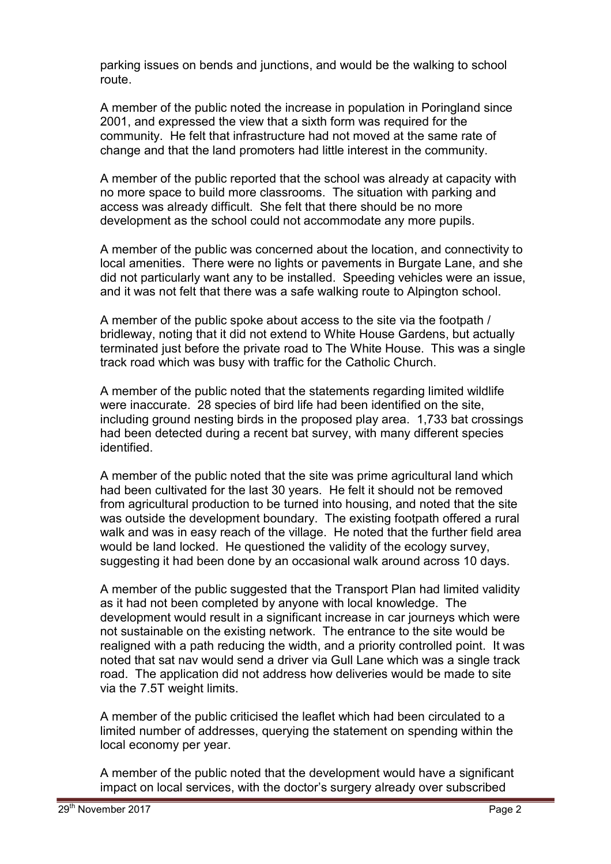parking issues on bends and junctions, and would be the walking to school route.

A member of the public noted the increase in population in Poringland since 2001, and expressed the view that a sixth form was required for the community. He felt that infrastructure had not moved at the same rate of change and that the land promoters had little interest in the community.

A member of the public reported that the school was already at capacity with no more space to build more classrooms. The situation with parking and access was already difficult. She felt that there should be no more development as the school could not accommodate any more pupils.

A member of the public was concerned about the location, and connectivity to local amenities. There were no lights or pavements in Burgate Lane, and she did not particularly want any to be installed. Speeding vehicles were an issue, and it was not felt that there was a safe walking route to Alpington school.

A member of the public spoke about access to the site via the footpath / bridleway, noting that it did not extend to White House Gardens, but actually terminated just before the private road to The White House. This was a single track road which was busy with traffic for the Catholic Church.

A member of the public noted that the statements regarding limited wildlife were inaccurate. 28 species of bird life had been identified on the site, including ground nesting birds in the proposed play area. 1,733 bat crossings had been detected during a recent bat survey, with many different species identified.

A member of the public noted that the site was prime agricultural land which had been cultivated for the last 30 years. He felt it should not be removed from agricultural production to be turned into housing, and noted that the site was outside the development boundary. The existing footpath offered a rural walk and was in easy reach of the village. He noted that the further field area would be land locked. He questioned the validity of the ecology survey, suggesting it had been done by an occasional walk around across 10 days.

A member of the public suggested that the Transport Plan had limited validity as it had not been completed by anyone with local knowledge. The development would result in a significant increase in car journeys which were not sustainable on the existing network. The entrance to the site would be realigned with a path reducing the width, and a priority controlled point. It was noted that sat nav would send a driver via Gull Lane which was a single track road. The application did not address how deliveries would be made to site via the 7.5T weight limits.

A member of the public criticised the leaflet which had been circulated to a limited number of addresses, querying the statement on spending within the local economy per year.

A member of the public noted that the development would have a significant impact on local services, with the doctor's surgery already over subscribed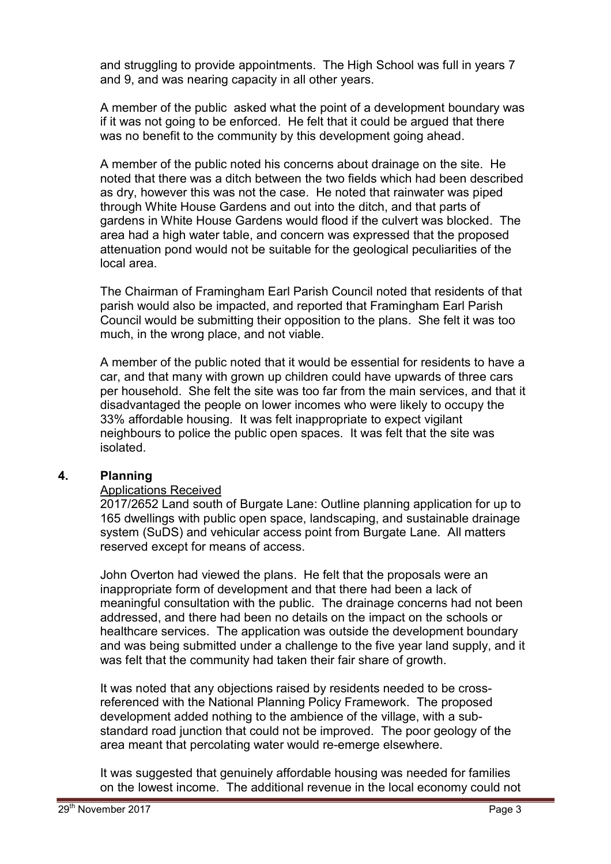and struggling to provide appointments. The High School was full in years 7 and 9, and was nearing capacity in all other years.

A member of the public asked what the point of a development boundary was if it was not going to be enforced. He felt that it could be argued that there was no benefit to the community by this development going ahead.

A member of the public noted his concerns about drainage on the site. He noted that there was a ditch between the two fields which had been described as dry, however this was not the case. He noted that rainwater was piped through White House Gardens and out into the ditch, and that parts of gardens in White House Gardens would flood if the culvert was blocked. The area had a high water table, and concern was expressed that the proposed attenuation pond would not be suitable for the geological peculiarities of the local area.

The Chairman of Framingham Earl Parish Council noted that residents of that parish would also be impacted, and reported that Framingham Earl Parish Council would be submitting their opposition to the plans. She felt it was too much, in the wrong place, and not viable.

A member of the public noted that it would be essential for residents to have a car, and that many with grown up children could have upwards of three cars per household. She felt the site was too far from the main services, and that it disadvantaged the people on lower incomes who were likely to occupy the 33% affordable housing. It was felt inappropriate to expect vigilant neighbours to police the public open spaces. It was felt that the site was isolated.

# **4. Planning**

# Applications Received

2017/2652 Land south of Burgate Lane: Outline planning application for up to 165 dwellings with public open space, landscaping, and sustainable drainage system (SuDS) and vehicular access point from Burgate Lane. All matters reserved except for means of access.

John Overton had viewed the plans. He felt that the proposals were an inappropriate form of development and that there had been a lack of meaningful consultation with the public. The drainage concerns had not been addressed, and there had been no details on the impact on the schools or healthcare services. The application was outside the development boundary and was being submitted under a challenge to the five year land supply, and it was felt that the community had taken their fair share of growth.

It was noted that any objections raised by residents needed to be crossreferenced with the National Planning Policy Framework. The proposed development added nothing to the ambience of the village, with a substandard road junction that could not be improved. The poor geology of the area meant that percolating water would re-emerge elsewhere.

It was suggested that genuinely affordable housing was needed for families on the lowest income. The additional revenue in the local economy could not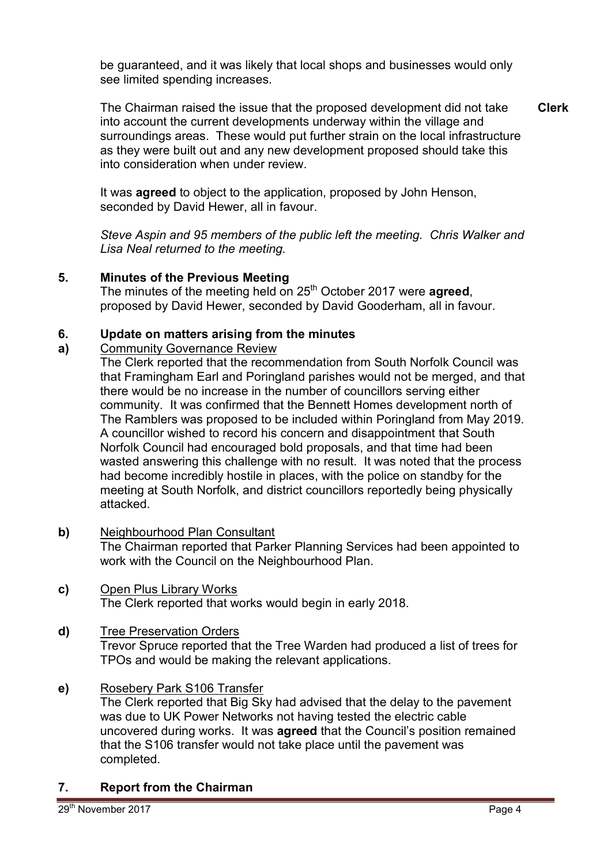be guaranteed, and it was likely that local shops and businesses would only see limited spending increases.

The Chairman raised the issue that the proposed development did not take into account the current developments underway within the village and surroundings areas. These would put further strain on the local infrastructure as they were built out and any new development proposed should take this into consideration when under review. **Clerk**

It was **agreed** to object to the application, proposed by John Henson, seconded by David Hewer, all in favour.

*Steve Aspin and 95 members of the public left the meeting. Chris Walker and Lisa Neal returned to the meeting.* 

# **5. Minutes of the Previous Meeting**

The minutes of the meeting held on 25<sup>th</sup> October 2017 were **agreed**, proposed by David Hewer, seconded by David Gooderham, all in favour.

### **6. Update on matters arising from the minutes**

### **a)**  Community Governance Review

The Clerk reported that the recommendation from South Norfolk Council was that Framingham Earl and Poringland parishes would not be merged, and that there would be no increase in the number of councillors serving either community. It was confirmed that the Bennett Homes development north of The Ramblers was proposed to be included within Poringland from May 2019. A councillor wished to record his concern and disappointment that South Norfolk Council had encouraged bold proposals, and that time had been wasted answering this challenge with no result. It was noted that the process had become incredibly hostile in places, with the police on standby for the meeting at South Norfolk, and district councillors reportedly being physically attacked.

- **b)** Neighbourhood Plan Consultant The Chairman reported that Parker Planning Services had been appointed to work with the Council on the Neighbourhood Plan.
- **c)** Open Plus Library Works The Clerk reported that works would begin in early 2018.

# **d)** Tree Preservation Orders

Trevor Spruce reported that the Tree Warden had produced a list of trees for TPOs and would be making the relevant applications.

**e)** Rosebery Park S106 Transfer

The Clerk reported that Big Sky had advised that the delay to the pavement was due to UK Power Networks not having tested the electric cable uncovered during works. It was **agreed** that the Council's position remained that the S106 transfer would not take place until the pavement was completed.

# **7. Report from the Chairman**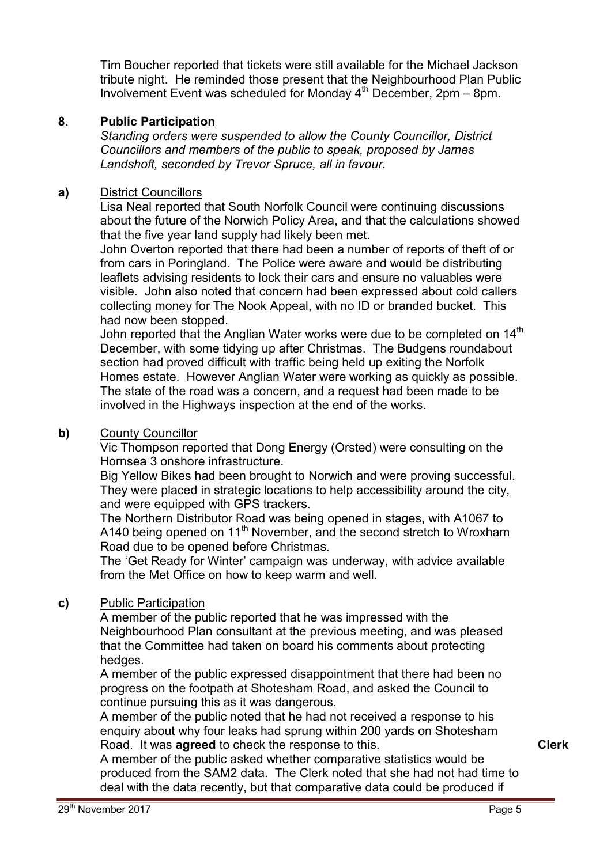Tim Boucher reported that tickets were still available for the Michael Jackson tribute night. He reminded those present that the Neighbourhood Plan Public Involvement Event was scheduled for Monday  $4^{th}$  December, 2pm – 8pm.

# **8. Public Participation**

*Standing orders were suspended to allow the County Councillor, District Councillors and members of the public to speak, proposed by James Landshoft, seconded by Trevor Spruce, all in favour.* 

# **a)** District Councillors

Lisa Neal reported that South Norfolk Council were continuing discussions about the future of the Norwich Policy Area, and that the calculations showed that the five year land supply had likely been met.

John Overton reported that there had been a number of reports of theft of or from cars in Poringland. The Police were aware and would be distributing leaflets advising residents to lock their cars and ensure no valuables were visible. John also noted that concern had been expressed about cold callers collecting money for The Nook Appeal, with no ID or branded bucket. This had now been stopped.

John reported that the Anglian Water works were due to be completed on  $14<sup>th</sup>$ December, with some tidying up after Christmas. The Budgens roundabout section had proved difficult with traffic being held up exiting the Norfolk Homes estate. However Anglian Water were working as quickly as possible. The state of the road was a concern, and a request had been made to be involved in the Highways inspection at the end of the works.

### **b)** County Councillor

Vic Thompson reported that Dong Energy (Orsted) were consulting on the Hornsea 3 onshore infrastructure.

Big Yellow Bikes had been brought to Norwich and were proving successful. They were placed in strategic locations to help accessibility around the city, and were equipped with GPS trackers.

The Northern Distributor Road was being opened in stages, with A1067 to A140 being opened on 11<sup>th</sup> November, and the second stretch to Wroxham Road due to be opened before Christmas.

The 'Get Ready for Winter' campaign was underway, with advice available from the Met Office on how to keep warm and well.

# **c)** Public Participation

A member of the public reported that he was impressed with the Neighbourhood Plan consultant at the previous meeting, and was pleased that the Committee had taken on board his comments about protecting hedges.

A member of the public expressed disappointment that there had been no progress on the footpath at Shotesham Road, and asked the Council to continue pursuing this as it was dangerous.

A member of the public noted that he had not received a response to his enquiry about why four leaks had sprung within 200 yards on Shotesham Road. It was **agreed** to check the response to this.

A member of the public asked whether comparative statistics would be produced from the SAM2 data. The Clerk noted that she had not had time to deal with the data recently, but that comparative data could be produced if

**Clerk**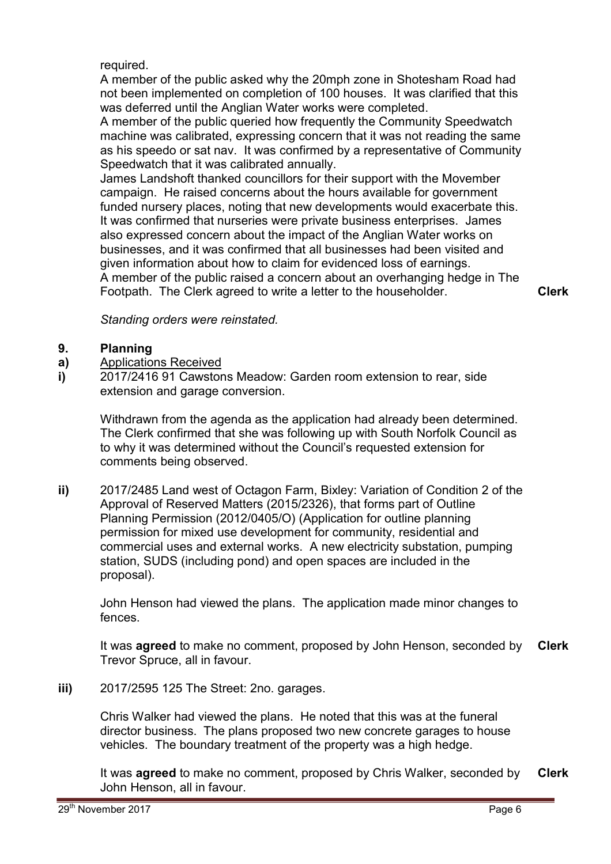required.

A member of the public asked why the 20mph zone in Shotesham Road had not been implemented on completion of 100 houses. It was clarified that this was deferred until the Anglian Water works were completed.

A member of the public queried how frequently the Community Speedwatch machine was calibrated, expressing concern that it was not reading the same as his speedo or sat nav. It was confirmed by a representative of Community Speedwatch that it was calibrated annually.

James Landshoft thanked councillors for their support with the Movember campaign. He raised concerns about the hours available for government funded nursery places, noting that new developments would exacerbate this. It was confirmed that nurseries were private business enterprises. James also expressed concern about the impact of the Anglian Water works on businesses, and it was confirmed that all businesses had been visited and given information about how to claim for evidenced loss of earnings. A member of the public raised a concern about an overhanging hedge in The Footpath. The Clerk agreed to write a letter to the householder. **Clerk**

*Standing orders were reinstated.* 

### **9. Planning**

- **a)**  Applications Received
- **i)**  2017/2416 91 Cawstons Meadow: Garden room extension to rear, side extension and garage conversion.

Withdrawn from the agenda as the application had already been determined. The Clerk confirmed that she was following up with South Norfolk Council as to why it was determined without the Council's requested extension for comments being observed.

**ii)** 2017/2485 Land west of Octagon Farm, Bixley: Variation of Condition 2 of the Approval of Reserved Matters (2015/2326), that forms part of Outline Planning Permission (2012/0405/O) (Application for outline planning permission for mixed use development for community, residential and commercial uses and external works. A new electricity substation, pumping station, SUDS (including pond) and open spaces are included in the proposal).

John Henson had viewed the plans. The application made minor changes to fences.

It was **agreed** to make no comment, proposed by John Henson, seconded by Trevor Spruce, all in favour. **Clerk**

**iii)** 2017/2595 125 The Street: 2no. garages.

Chris Walker had viewed the plans. He noted that this was at the funeral director business. The plans proposed two new concrete garages to house vehicles. The boundary treatment of the property was a high hedge.

It was **agreed** to make no comment, proposed by Chris Walker, seconded by John Henson, all in favour. **Clerk**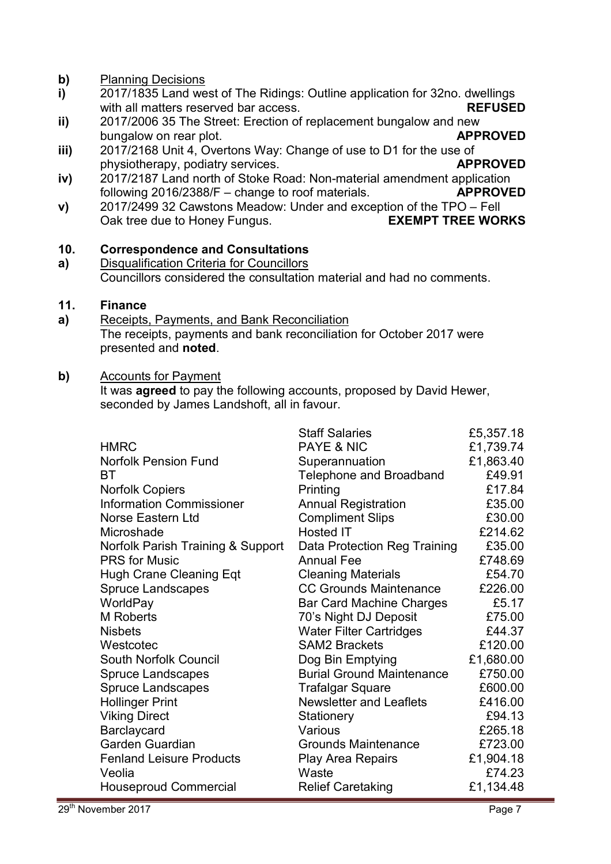- **b)** Planning Decisions
- **i)**  2017/1835 Land west of The Ridings: Outline application for 32no. dwellings with all matters reserved bar access. **REFUSED**
- **ii)**  2017/2006 35 The Street: Erection of replacement bungalow and new bungalow on rear plot. **APPROVED**
- **iii)**  2017/2168 Unit 4, Overtons Way: Change of use to D1 for the use of physiotherapy, podiatry services. **APPROVED**
- **iv)**  2017/2187 Land north of Stoke Road: Non-material amendment application following 2016/2388/F – change to roof materials. **APPROVED**
- **v)**  2017/2499 32 Cawstons Meadow: Under and exception of the TPO – Fell Oak tree due to Honey Fungus. **EXEMPT TREE WORKS**

### **10. Correspondence and Consultations**

**a)**  Disqualification Criteria for Councillors Councillors considered the consultation material and had no comments.

### **11. Finance**

**a)**  Receipts, Payments, and Bank Reconciliation The receipts, payments and bank reconciliation for October 2017 were presented and **noted**.

# **b)** Accounts for Payment

It was **agreed** to pay the following accounts, proposed by David Hewer, seconded by James Landshoft, all in favour.

|                                   | <b>Staff Salaries</b>            | £5,357.18 |
|-----------------------------------|----------------------------------|-----------|
| <b>HMRC</b>                       | <b>PAYE &amp; NIC</b>            | £1,739.74 |
| <b>Norfolk Pension Fund</b>       | Superannuation                   | £1,863.40 |
| BТ                                | <b>Telephone and Broadband</b>   | £49.91    |
| <b>Norfolk Copiers</b>            | Printing                         | £17.84    |
| <b>Information Commissioner</b>   | <b>Annual Registration</b>       | £35.00    |
| Norse Eastern Ltd                 | <b>Compliment Slips</b>          | £30.00    |
| Microshade                        | <b>Hosted IT</b>                 | £214.62   |
| Norfolk Parish Training & Support | Data Protection Reg Training     | £35.00    |
| <b>PRS</b> for Music              | <b>Annual Fee</b>                | £748.69   |
| <b>Hugh Crane Cleaning Eqt</b>    | <b>Cleaning Materials</b>        | £54.70    |
| <b>Spruce Landscapes</b>          | <b>CC Grounds Maintenance</b>    | £226.00   |
| WorldPay                          | <b>Bar Card Machine Charges</b>  | £5.17     |
| <b>M</b> Roberts                  | 70's Night DJ Deposit            | £75.00    |
| <b>Nisbets</b>                    | <b>Water Filter Cartridges</b>   | £44.37    |
| Westcotec                         | <b>SAM2 Brackets</b>             | £120.00   |
| <b>South Norfolk Council</b>      | Dog Bin Emptying                 | £1,680.00 |
| <b>Spruce Landscapes</b>          | <b>Burial Ground Maintenance</b> | £750.00   |
| <b>Spruce Landscapes</b>          | <b>Trafalgar Square</b>          | £600.00   |
| <b>Hollinger Print</b>            | <b>Newsletter and Leaflets</b>   | £416.00   |
| <b>Viking Direct</b>              | Stationery                       | £94.13    |
| Barclaycard                       | Various                          | £265.18   |
| Garden Guardian                   | <b>Grounds Maintenance</b>       | £723.00   |
| <b>Fenland Leisure Products</b>   | <b>Play Area Repairs</b>         | £1,904.18 |
| Veolia                            | Waste                            | £74.23    |
| <b>Houseproud Commercial</b>      | <b>Relief Caretaking</b>         | £1,134.48 |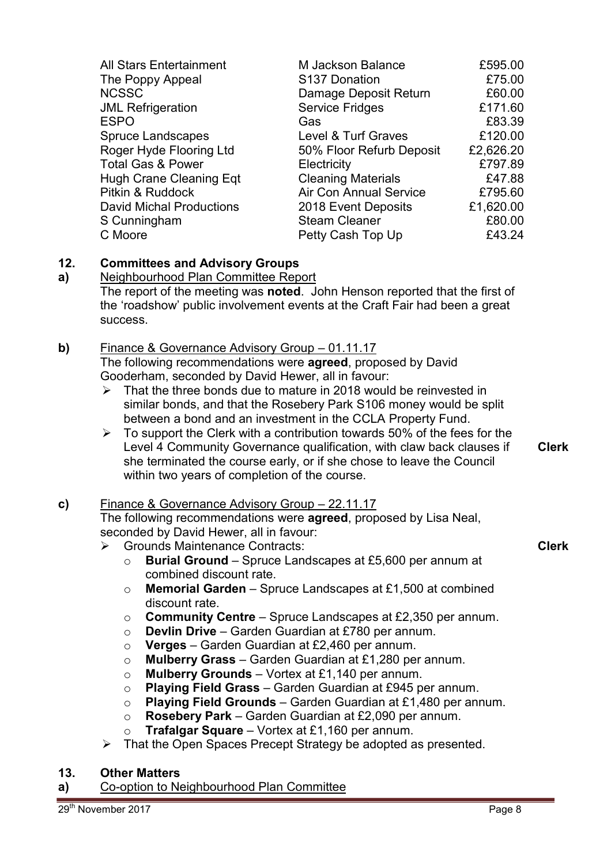| <b>All Stars Entertainment</b><br>The Poppy Appeal<br><b>NCSSC</b><br><b>JML Refrigeration</b><br><b>ESPO</b><br><b>Spruce Landscapes</b><br>Roger Hyde Flooring Ltd<br><b>Total Gas &amp; Power</b><br>Hugh Crane Cleaning Eqt<br>Pitkin & Ruddock<br><b>David Michal Productions</b><br>S Cunningham | M Jackson Balance<br>S137 Donation<br>Damage Deposit Return<br><b>Service Fridges</b><br>Gas<br>Level & Turf Graves<br>50% Floor Refurb Deposit<br>Electricity<br><b>Cleaning Materials</b><br>Air Con Annual Service<br>2018 Event Deposits<br><b>Steam Cleaner</b> | £595.00<br>£75.00<br>£60.00<br>£171.60<br>£83.39<br>£120.00<br>£2,626.20<br>£797.89<br>£47.88<br>£795.60<br>£1,620.00<br>£80.00 |
|--------------------------------------------------------------------------------------------------------------------------------------------------------------------------------------------------------------------------------------------------------------------------------------------------------|----------------------------------------------------------------------------------------------------------------------------------------------------------------------------------------------------------------------------------------------------------------------|---------------------------------------------------------------------------------------------------------------------------------|
| C Moore                                                                                                                                                                                                                                                                                                | Petty Cash Top Up                                                                                                                                                                                                                                                    | £43.24                                                                                                                          |
|                                                                                                                                                                                                                                                                                                        |                                                                                                                                                                                                                                                                      |                                                                                                                                 |

### **12. Committees and Advisory Groups**

**a)**  Neighbourhood Plan Committee Report The report of the meeting was **noted**. John Henson reported that the first of the 'roadshow' public involvement events at the Craft Fair had been a great success.

# **b)** Finance & Governance Advisory Group – 01.11.17 The following recommendations were **agreed**, proposed by David Gooderham, seconded by David Hewer, all in favour:

- $\geq$  That the three bonds due to mature in 2018 would be reinvested in similar bonds, and that the Rosebery Park S106 money would be split between a bond and an investment in the CCLA Property Fund.
- $\triangleright$  To support the Clerk with a contribution towards 50% of the fees for the Level 4 Community Governance qualification, with claw back clauses if she terminated the course early, or if she chose to leave the Council within two years of completion of the course.

# **c)** Finance & Governance Advisory Group – 22.11.17

The following recommendations were **agreed**, proposed by Lisa Neal, seconded by David Hewer, all in favour:

- **►** Grounds Maintenance Contracts:
	- o **Burial Ground** Spruce Landscapes at £5,600 per annum at combined discount rate.
	- o **Memorial Garden**  Spruce Landscapes at £1,500 at combined discount rate.
	- o **Community Centre**  Spruce Landscapes at £2,350 per annum.
	- o **Devlin Drive**  Garden Guardian at £780 per annum.
	- o **Verges**  Garden Guardian at £2,460 per annum.
	- o **Mulberry Grass**  Garden Guardian at £1,280 per annum.
	- o **Mulberry Grounds** Vortex at £1,140 per annum.
	- o **Playing Field Grass** Garden Guardian at £945 per annum.
	- o **Playing Field Grounds**  Garden Guardian at £1,480 per annum.
	- o **Rosebery Park**  Garden Guardian at £2,090 per annum.
	- o **Trafalgar Square** Vortex at £1,160 per annum.
- $\triangleright$  That the Open Spaces Precept Strategy be adopted as presented.

# **13. Other Matters**

**a)** Co-option to Neighbourhood Plan Committee

**Clerk**

**Clerk**